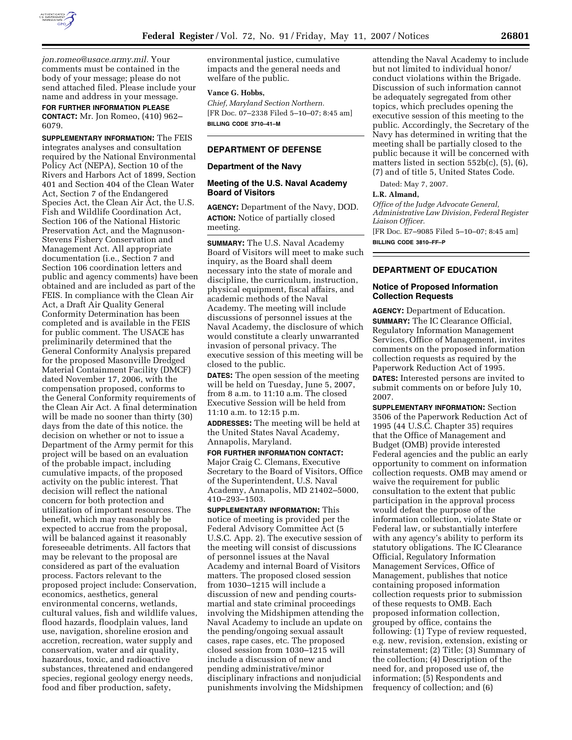

*jon.romeo@usace.army.mil.* Your comments must be contained in the body of your message; please do not send attached filed. Please include your name and address in your message.

**FOR FURTHER INFORMATION PLEASE CONTACT:** Mr. Jon Romeo, (410) 962– 6079.

**SUPPLEMENTARY INFORMATION:** The FEIS integrates analyses and consultation required by the National Environmental Policy Act (NEPA), Section 10 of the Rivers and Harbors Act of 1899, Section 401 and Section 404 of the Clean Water Act, Section 7 of the Endangered Species Act, the Clean Air Act, the U.S. Fish and Wildlife Coordination Act, Section 106 of the National Historic Preservation Act, and the Magnuson-Stevens Fishery Conservation and Management Act. All appropriate documentation (i.e., Section 7 and Section 106 coordination letters and public and agency comments) have been obtained and are included as part of the FEIS. In compliance with the Clean Air Act, a Draft Air Quality General Conformity Determination has been completed and is available in the FEIS for public comment. The USACE has preliminarily determined that the General Conformity Analysis prepared for the proposed Masonville Dredged Material Containment Facility (DMCF) dated November 17, 2006, with the compensation proposed, conforms to the General Conformity requirements of the Clean Air Act. A final determination will be made no sooner than thirty (30) days from the date of this notice. the decision on whether or not to issue a Department of the Army permit for this project will be based on an evaluation of the probable impact, including cumulative impacts, of the proposed activity on the public interest. That decision will reflect the national concern for both protection and utilization of important resources. The benefit, which may reasonably be expected to accrue from the proposal, will be balanced against it reasonably foreseeable detriments. All factors that may be relevant to the proposal are considered as part of the evaluation process. Factors relevant to the proposed project include: Conservation, economics, aesthetics, general environmental concerns, wetlands, cultural values, fish and wildlife values, flood hazards, floodplain values, land use, navigation, shoreline erosion and accretion, recreation, water supply and conservation, water and air quality, hazardous, toxic, and radioactive substances, threatened and endangered species, regional geology energy needs, food and fiber production, safety,

environmental justice, cumulative impacts and the general needs and welfare of the public.

#### **Vance G. Hobbs,**

*Chief, Maryland Section Northern.*  [FR Doc. 07–2338 Filed 5–10–07; 8:45 am] **BILLING CODE 3710–41–M** 

### **DEPARTMENT OF DEFENSE**

#### **Department of the Navy**

# **Meeting of the U.S. Naval Academy Board of Visitors**

**AGENCY:** Department of the Navy, DOD. **ACTION:** Notice of partially closed meeting.

**SUMMARY:** The U.S. Naval Academy Board of Visitors will meet to make such inquiry, as the Board shall deem necessary into the state of morale and discipline, the curriculum, instruction, physical equipment, fiscal affairs, and academic methods of the Naval Academy. The meeting will include discussions of personnel issues at the Naval Academy, the disclosure of which would constitute a clearly unwarranted invasion of personal privacy. The executive session of this meeting will be closed to the public.

**DATES:** The open session of the meeting will be held on Tuesday, June 5, 2007, from 8 a.m. to 11:10 a.m. The closed Executive Session will be held from 11:10 a.m. to 12:15 p.m.

**ADDRESSES:** The meeting will be held at the United States Naval Academy, Annapolis, Maryland.

**FOR FURTHER INFORMATION CONTACT:**  Major Craig C. Clemans, Executive Secretary to the Board of Visitors, Office of the Superintendent, U.S. Naval Academy, Annapolis, MD 21402–5000, 410–293–1503.

**SUPPLEMENTARY INFORMATION:** This notice of meeting is provided per the Federal Advisory Committee Act (5 U.S.C. App. 2). The executive session of the meeting will consist of discussions of personnel issues at the Naval Academy and internal Board of Visitors matters. The proposed closed session from 1030–1215 will include a discussion of new and pending courtsmartial and state criminal proceedings involving the Midshipmen attending the Naval Academy to include an update on the pending/ongoing sexual assault cases, rape cases, etc. The proposed closed session from 1030–1215 will include a discussion of new and pending administrative/minor disciplinary infractions and nonjudicial punishments involving the Midshipmen

attending the Naval Academy to include but not limited to individual honor/ conduct violations within the Brigade. Discussion of such information cannot be adequately segregated from other topics, which precludes opening the executive session of this meeting to the public. Accordingly, the Secretary of the Navy has determined in writing that the meeting shall be partially closed to the public because it will be concerned with matters listed in section 552b(c), (5), (6), (7) and of title 5, United States Code.

Dated: May 7, 2007.

#### **L.R. Almand,**

*Office of the Judge Advocate General, Administrative Law Division, Federal Register Liaison Officer.*  [FR Doc. E7–9085 Filed 5–10–07; 8:45 am]

**BILLING CODE 3810–FF–P** 

# **DEPARTMENT OF EDUCATION**

## **Notice of Proposed Information Collection Requests**

**AGENCY:** Department of Education. **SUMMARY:** The IC Clearance Official, Regulatory Information Management Services, Office of Management, invites comments on the proposed information collection requests as required by the Paperwork Reduction Act of 1995. **DATES:** Interested persons are invited to submit comments on or before July 10, 2007.

**SUPPLEMENTARY INFORMATION:** Section 3506 of the Paperwork Reduction Act of 1995 (44 U.S.C. Chapter 35) requires that the Office of Management and Budget (OMB) provide interested Federal agencies and the public an early opportunity to comment on information collection requests. OMB may amend or waive the requirement for public consultation to the extent that public participation in the approval process would defeat the purpose of the information collection, violate State or Federal law, or substantially interfere with any agency's ability to perform its statutory obligations. The IC Clearance Official, Regulatory Information Management Services, Office of Management, publishes that notice containing proposed information collection requests prior to submission of these requests to OMB. Each proposed information collection, grouped by office, contains the following: (1) Type of review requested, e.g. new, revision, extension, existing or reinstatement; (2) Title; (3) Summary of the collection; (4) Description of the need for, and proposed use of, the information; (5) Respondents and frequency of collection; and (6)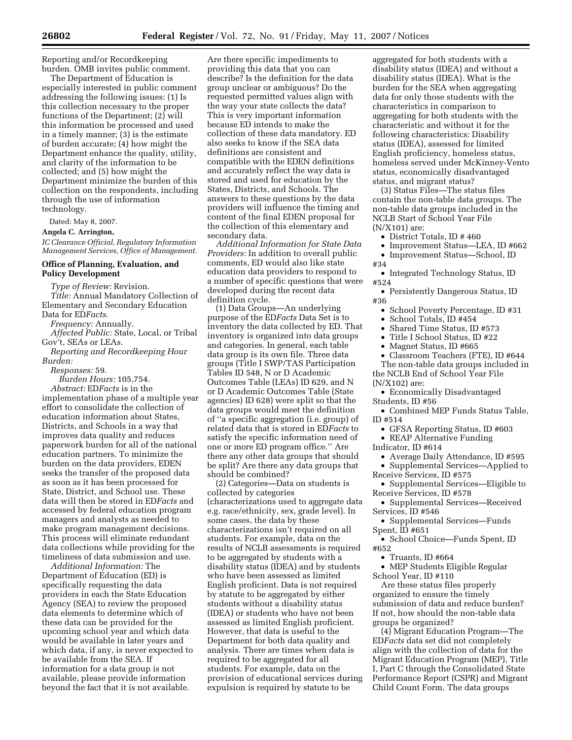Reporting and/or Recordkeeping burden. OMB invites public comment.

The Department of Education is especially interested in public comment addressing the following issues: (1) Is this collection necessary to the proper functions of the Department; (2) will this information be processed and used in a timely manner; (3) is the estimate of burden accurate; (4) how might the Department enhance the quality, utility, and clarity of the information to be collected; and (5) how might the Department minimize the burden of this collection on the respondents, including through the use of information technology.

Dated: May 8, 2007.

#### **Angela C. Arrington,**

*IC Clearance Official, Regulatory Information Management Services, Office of Management.* 

# **Office of Planning, Evaluation, and Policy Development**

*Type of Review:* Revision.

*Title:* Annual Mandatory Collection of Elementary and Secondary Education Data for ED*Facts.* 

*Frequency:* Annually.

*Affected Public:* State, Local, or Tribal Gov't, SEAs or LEAs.

*Reporting and Recordkeeping Hour Burden:* 

*Responses:* 59.

*Burden Hours:* 105,754. *Abstract:* ED*Facts* is in the implementation phase of a multiple year effort to consolidate the collection of education information about States, Districts, and Schools in a way that improves data quality and reduces paperwork burden for all of the national education partners. To minimize the burden on the data providers, EDEN seeks the transfer of the proposed data as soon as it has been processed for State, District, and School use. These data will then be stored in ED*Facts* and accessed by federal education program managers and analysts as needed to make program management decisions. This process will eliminate redundant data collections while providing for the timeliness of data submission and use.

*Additional Information:* The Department of Education (ED) is specifically requesting the data providers in each the State Education Agency (SEA) to review the proposed data elements to determine which of these data can be provided for the upcoming school year and which data would be available in later years and which data, if any, is never expected to be available from the SEA. If information for a data group is not available, please provide information beyond the fact that it is not available.

Are there specific impediments to providing this data that you can describe? Is the definition for the data group unclear or ambiguous? Do the requested permitted values align with the way your state collects the data? This is very important information because ED intends to make the collection of these data mandatory. ED also seeks to know if the SEA data definitions are consistent and compatible with the EDEN definitions and accurately reflect the way data is stored and used for education by the States, Districts, and Schools. The answers to these questions by the data providers will influence the timing and content of the final EDEN proposal for the collection of this elementary and secondary data.

*Additional Information for State Data Providers:* In addition to overall public comments, ED would also like state education data providers to respond to a number of specific questions that were developed during the recent data definition cycle.

(1) Data Groups—An underlying purpose of the ED*Facts* Data Set is to inventory the data collected by ED. That inventory is organized into data groups and categories. In general, each table data group is its own file. Three data groups (Title I SWP/TAS Participation Tables ID 548, N or D Academic Outcomes Table (LEAs) ID 629, and N or D Academic Outcomes Table (State agencies) ID 628) were split so that the data groups would meet the definition of ''a specific aggregation (i.e. group) of related data that is stored in ED*Facts* to satisfy the specific information need of one or more ED program office.'' Are there any other data groups that should be split? Are there any data groups that should be combined?

(2) Categories—Data on students is collected by categories (characterizations used to aggregate data e.g. race/ethnicity, sex, grade level). In some cases, the data by these characterizations isn't required on all students. For example, data on the results of NCLB assessments is required to be aggregated by students with a disability status (IDEA) and by students who have been assessed as limited English proficient. Data is not required by statute to be aggregated by either students without a disability status (IDEA) or students who have not been assessed as limited English proficient. However, that data is useful to the Department for both data quality and analysis. There are times when data is required to be aggregated for all students. For example, data on the provision of educational services during expulsion is required by statute to be

aggregated for both students with a disability status (IDEA) and without a disability status (IDEA). What is the burden for the SEA when aggregating data for only those students with the characteristics in comparison to aggregating for both students with the characteristic and without it for the following characteristics: Disability status (IDEA), assessed for limited English proficiency, homeless status, homeless served under McKinney-Vento status, economically disadvantaged status, and migrant status?

(3) Status Files—The status files contain the non-table data groups. The non-table data groups included in the NCLB Start of School Year File (N/X101) are:

- District Totals, ID # 460
- Improvement Status—LEA, ID #662
- Improvement Status—School, ID #34

• Integrated Technology Status, ID #524

• Persistently Dangerous Status, ID #36

- School Poverty Percentage, ID #31
- School Totals, ID #454
- Shared Time Status, ID #573
- Title I School Status, ID #22
- Magnet Status, ID #665
- Classroom Teachers (FTE), ID #644 The non-table data groups included in

the NCLB End of School Year File

(N/X102) are:

- Economically Disadvantaged Students, ID #56
- Combined MEP Funds Status Table, ID #514
	- GFSA Reporting Status, ID #603
- REAP Alternative Funding

Indicator, ID #614

- Average Daily Attendance, ID #595
- Supplemental Services—Applied to Receive Services, ID #575
- Supplemental Services—Eligible to Receive Services, ID #578
- Supplemental Services—Received Services, ID #546
- Supplemental Services—Funds Spent, ID #651

• School Choice—Funds Spent, ID #652

• Truants, ID #664

• MEP Students Eligible Regular School Year, ID #110

Are these status files properly organized to ensure the timely submission of data and reduce burden? If not, how should the non-table data groups be organized?

(4) Migrant Education Program—The ED*Facts* data set did not completely align with the collection of data for the Migrant Education Program (MEP), Title I, Part C through the Consolidated State Performance Report (CSPR) and Migrant Child Count Form. The data groups